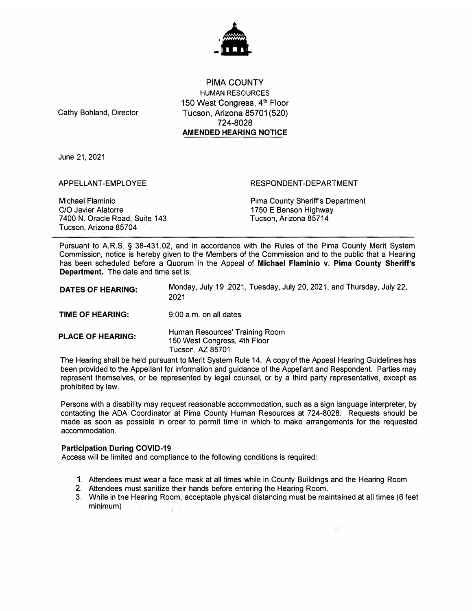

PIMA COUNTY HUMAN RESOURCES 150 West Congress, 4<sup>th</sup> Floor Tucson, Arizona 85701 (520) 724-8028 **AMENDED HEARING NOTICE**

Cathy Bohland, Director

June 21, 2021

APPELLANT-EMPLOYEE

RESPONDENT-DEPARTMENT

Michael Flaminio C/O Javier Alatorre 7400 N. Oracle Road, Suite 143 Tucson, Arizona 85704

Pima County Sherif<sup>f</sup> s Department 1750 E Benson Highway Tucson, Arizona 85714

 $\pm 1$ 

Pursuant to A.R.S. § 38-431.02, and in accordance with the Rules of the Pima County Merit System Commission, notice is hereby given to the Members of the Commission and to the public that a Hearing has been scheduled before a Quorum in the Appeal of **Michael Flaminio v. Pima County Sheriff's Department.** The date and time set is:

| <b>DATES OF HEARING:</b> | Monday, July 19, 2021, Tuesday, July 20, 2021, and Thursday, July 22,<br>2021      |
|--------------------------|------------------------------------------------------------------------------------|
| <b>TIME OF HEARING:</b>  | 9:00 a.m. on all dates                                                             |
| <b>PLACE OF HEARING:</b> | Human Resources' Training Room<br>150 West Congress, 4th Floor<br>Tucson, AZ 85701 |

The Hearing shall be held pursuant to Merit System Rule 14. A copy of the Appeal Hearing Guidelines has been provided to the Appellant for information and guidance of the Appellant and Respondent. Parties may represent themselves, or be represented by legal counsel, or by a third party representative, except as prohibited by law.

Persons with a disability may request reasonable accommodation, such as a sign language interpreter, by contacting the ADA Coordinator at Pima County Human Resources at 724-8028. Requests should be made as soon as possible in order to permit time in which to make arrangements for the requested accommodation.

## **Participation During COVID-19**

Access will be limited and compliance to the following conditions is required:

- 1. Attendees must wear a face mask at all times while in County Buildings and the Hearing Room
- 2. Attendees must sanitize their hands before entering the Hearing Room.
- 3. While in the Hearing Room, acceptable physical distancing must be maintained at all times (6 feet minimum)